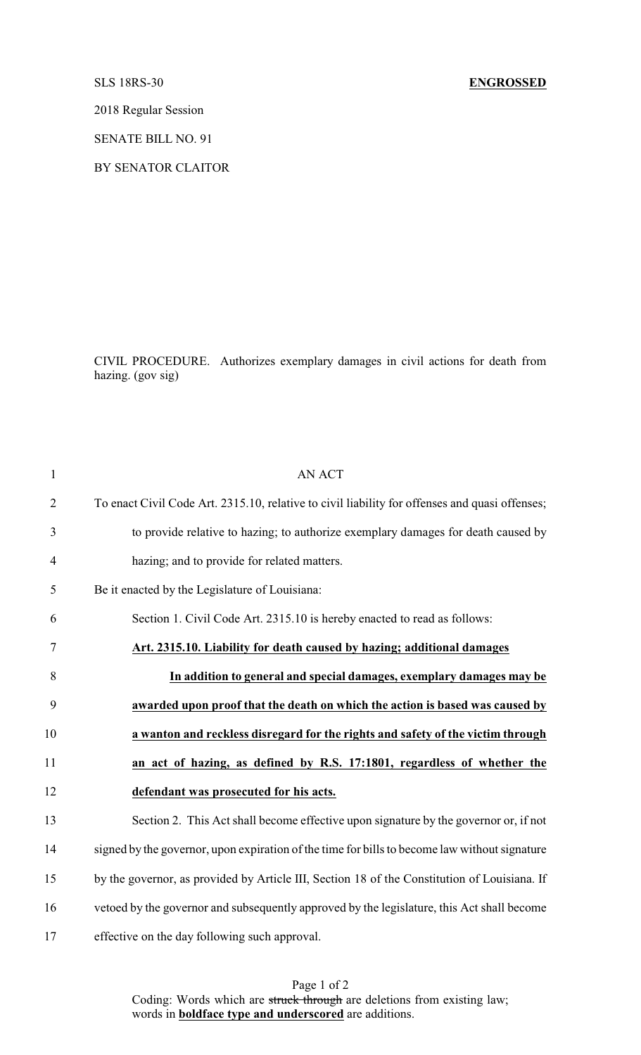2018 Regular Session

SENATE BILL NO. 91

BY SENATOR CLAITOR

CIVIL PROCEDURE. Authorizes exemplary damages in civil actions for death from hazing. (gov sig)

| $\mathbf{1}$   | <b>AN ACT</b>                                                                                  |
|----------------|------------------------------------------------------------------------------------------------|
| $\overline{2}$ | To enact Civil Code Art. 2315.10, relative to civil liability for offenses and quasi offenses; |
| 3              | to provide relative to hazing; to authorize exemplary damages for death caused by              |
| $\overline{4}$ | hazing; and to provide for related matters.                                                    |
| 5              | Be it enacted by the Legislature of Louisiana:                                                 |
| 6              | Section 1. Civil Code Art. 2315.10 is hereby enacted to read as follows:                       |
| 7              | Art. 2315.10. Liability for death caused by hazing; additional damages                         |
| 8              | In addition to general and special damages, exemplary damages may be                           |
| 9              | awarded upon proof that the death on which the action is based was caused by                   |
| 10             | a wanton and reckless disregard for the rights and safety of the victim through                |
| 11             | an act of hazing, as defined by R.S. 17:1801, regardless of whether the                        |
| 12             | defendant was prosecuted for his acts.                                                         |
| 13             | Section 2. This Act shall become effective upon signature by the governor or, if not           |
| 14             | signed by the governor, upon expiration of the time for bills to become law without signature  |
| 15             | by the governor, as provided by Article III, Section 18 of the Constitution of Louisiana. If   |
| 16             | vetoed by the governor and subsequently approved by the legislature, this Act shall become     |
| 17             | effective on the day following such approval.                                                  |

Page 1 of 2 Coding: Words which are struck through are deletions from existing law; words in **boldface type and underscored** are additions.